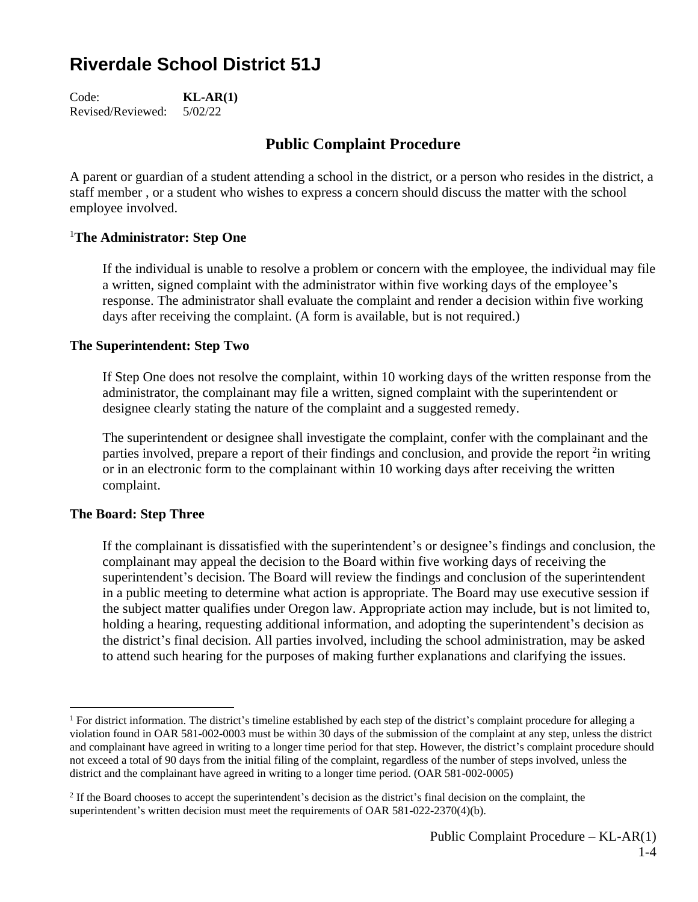# **Riverdale School District 51J**

Code: **KL-AR(1)** Revised/Reviewed: 5/02/22

## **Public Complaint Procedure**

A parent or guardian of a student attending a school in the district, or a person who resides in the district, a staff member , or a student who wishes to express a concern should discuss the matter with the school employee involved.

#### <sup>1</sup>**The Administrator: Step One**

If the individual is unable to resolve a problem or concern with the employee, the individual may file a written, signed complaint with the administrator within five working days of the employee's response. The administrator shall evaluate the complaint and render a decision within five working days after receiving the complaint. (A form is available, but is not required.)

#### **The Superintendent: Step Two**

If Step One does not resolve the complaint, within 10 working days of the written response from the administrator, the complainant may file a written, signed complaint with the superintendent or designee clearly stating the nature of the complaint and a suggested remedy.

The superintendent or designee shall investigate the complaint, confer with the complainant and the parties involved, prepare a report of their findings and conclusion, and provide the report <sup>2</sup> in writing or in an electronic form to the complainant within 10 working days after receiving the written complaint.

#### **The Board: Step Three**

If the complainant is dissatisfied with the superintendent's or designee's findings and conclusion, the complainant may appeal the decision to the Board within five working days of receiving the superintendent's decision. The Board will review the findings and conclusion of the superintendent in a public meeting to determine what action is appropriate. The Board may use executive session if the subject matter qualifies under Oregon law. Appropriate action may include, but is not limited to, holding a hearing, requesting additional information, and adopting the superintendent's decision as the district's final decision. All parties involved, including the school administration, may be asked to attend such hearing for the purposes of making further explanations and clarifying the issues.

<sup>&</sup>lt;sup>1</sup> For district information. The district's timeline established by each step of the district's complaint procedure for alleging a violation found in OAR 581-002-0003 must be within 30 days of the submission of the complaint at any step, unless the district and complainant have agreed in writing to a longer time period for that step. However, the district's complaint procedure should not exceed a total of 90 days from the initial filing of the complaint, regardless of the number of steps involved, unless the district and the complainant have agreed in writing to a longer time period. (OAR 581-002-0005)

<sup>&</sup>lt;sup>2</sup> If the Board chooses to accept the superintendent's decision as the district's final decision on the complaint, the superintendent's written decision must meet the requirements of OAR 581-022-2370(4)(b).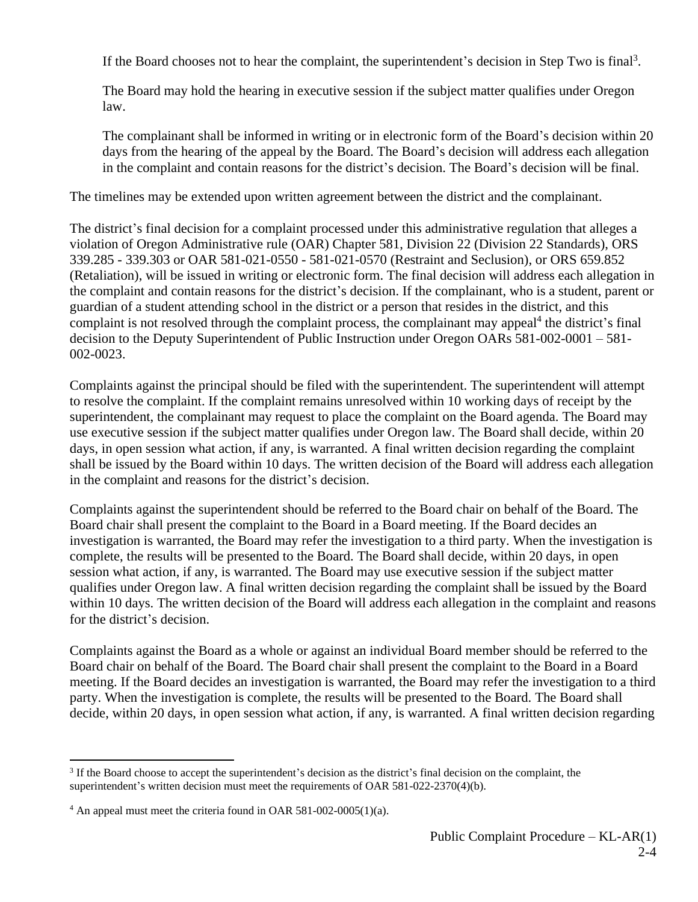If the Board chooses not to hear the complaint, the superintendent's decision in Step Two is final<sup>3</sup>.

The Board may hold the hearing in executive session if the subject matter qualifies under Oregon law.

The complainant shall be informed in writing or in electronic form of the Board's decision within 20 days from the hearing of the appeal by the Board. The Board's decision will address each allegation in the complaint and contain reasons for the district's decision. The Board's decision will be final.

The timelines may be extended upon written agreement between the district and the complainant.

The district's final decision for a complaint processed under this administrative regulation that alleges a violation of Oregon Administrative rule (OAR) Chapter 581, Division 22 (Division 22 Standards), ORS 339.285 - 339.303 or OAR 581-021-0550 - 581-021-0570 (Restraint and Seclusion), or ORS 659.852 (Retaliation), will be issued in writing or electronic form. The final decision will address each allegation in the complaint and contain reasons for the district's decision. If the complainant, who is a student, parent or guardian of a student attending school in the district or a person that resides in the district, and this complaint is not resolved through the complaint process, the complainant may appeal<sup>4</sup> the district's final decision to the Deputy Superintendent of Public Instruction under Oregon OARs 581-002-0001 – 581- 002-0023.

Complaints against the principal should be filed with the superintendent. The superintendent will attempt to resolve the complaint. If the complaint remains unresolved within 10 working days of receipt by the superintendent, the complainant may request to place the complaint on the Board agenda. The Board may use executive session if the subject matter qualifies under Oregon law. The Board shall decide, within 20 days, in open session what action, if any, is warranted. A final written decision regarding the complaint shall be issued by the Board within 10 days. The written decision of the Board will address each allegation in the complaint and reasons for the district's decision.

Complaints against the superintendent should be referred to the Board chair on behalf of the Board. The Board chair shall present the complaint to the Board in a Board meeting. If the Board decides an investigation is warranted, the Board may refer the investigation to a third party. When the investigation is complete, the results will be presented to the Board. The Board shall decide, within 20 days, in open session what action, if any, is warranted. The Board may use executive session if the subject matter qualifies under Oregon law. A final written decision regarding the complaint shall be issued by the Board within 10 days. The written decision of the Board will address each allegation in the complaint and reasons for the district's decision.

Complaints against the Board as a whole or against an individual Board member should be referred to the Board chair on behalf of the Board. The Board chair shall present the complaint to the Board in a Board meeting. If the Board decides an investigation is warranted, the Board may refer the investigation to a third party. When the investigation is complete, the results will be presented to the Board. The Board shall decide, within 20 days, in open session what action, if any, is warranted. A final written decision regarding

<sup>&</sup>lt;sup>3</sup> If the Board choose to accept the superintendent's decision as the district's final decision on the complaint, the superintendent's written decision must meet the requirements of OAR 581-022-2370(4)(b).

 $4$  An appeal must meet the criteria found in OAR 581-002-0005(1)(a).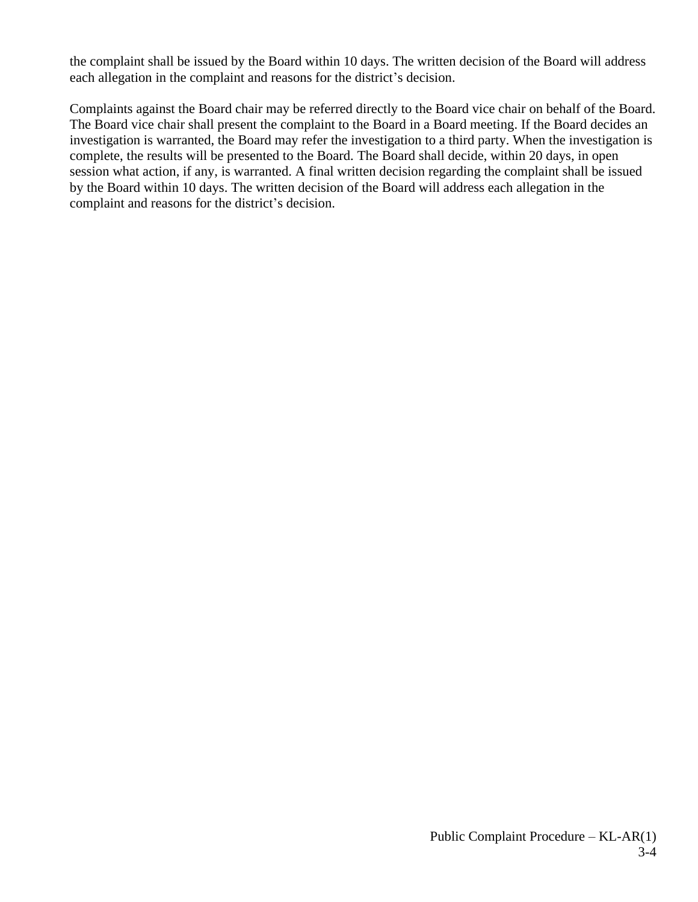the complaint shall be issued by the Board within 10 days. The written decision of the Board will address each allegation in the complaint and reasons for the district's decision.

Complaints against the Board chair may be referred directly to the Board vice chair on behalf of the Board. The Board vice chair shall present the complaint to the Board in a Board meeting. If the Board decides an investigation is warranted, the Board may refer the investigation to a third party. When the investigation is complete, the results will be presented to the Board. The Board shall decide, within 20 days, in open session what action, if any, is warranted. A final written decision regarding the complaint shall be issued by the Board within 10 days. The written decision of the Board will address each allegation in the complaint and reasons for the district's decision.